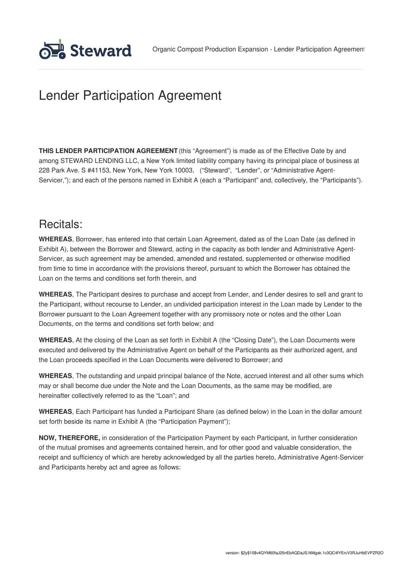



# Lender Participation Agreement

**THIS LENDER PARTICIPATION AGREEMENT** (this "Agreement") is made as of the Effective Date by and among STEWARD LENDING LLC, a New York limited liability company having its principal place of business at 228 Park Ave. S #41153, New York, New York 10003, ("Steward", "Lender", or "Administrative Agent-Servicer,"); and each of the persons named in Exhibit A (each a "Participant" and, collectively, the "Participants").

### Recitals:

**WHEREAS**, Borrower, has entered into that certain Loan Agreement, dated as of the Loan Date (as defined in Exhibit A), between the Borrower and Steward, acting in the capacity as both lender and Administrative Agent-Servicer, as such agreement may be amended, amended and restated, supplemented or otherwise modified from time to time in accordance with the provisions thereof, pursuant to which the Borrower has obtained the Loan on the terms and conditions set forth therein, and

**WHEREAS**, The Participant desires to purchase and accept from Lender, and Lender desires to sell and grant to the Participant, without recourse to Lender, an undivided participation interest in the Loan made by Lender to the Borrower pursuant to the Loan Agreement together with any promissory note or notes and the other Loan Documents, on the terms and conditions set forth below; and

**WHEREAS**, At the closing of the Loan as set forth in Exhibit A (the "Closing Date"), the Loan Documents were executed and delivered by the Administrative Agent on behalf of the Participants as their authorized agent, and the Loan proceeds specified in the Loan Documents were delivered to Borrower; and

**WHEREAS**, The outstanding and unpaid principal balance of the Note, accrued interest and all other sums which may or shall become due under the Note and the Loan Documents, as the same may be modified, are hereinafter collectively referred to as the "Loan"; and

**WHEREAS**, Each Participant has funded a Participant Share (as defined below) in the Loan in the dollar amount set forth beside its name in Exhibit A (the "Participation Payment");

**NOW, THEREFORE,** in consideration of the Participation Payment by each Participant, in further consideration of the mutual promises and agreements contained herein, and for other good and valuable consideration, the receipt and sufficiency of which are hereby acknowledged by all the parties hereto, Administrative Agent-Servicer and Participants hereby act and agree as follows: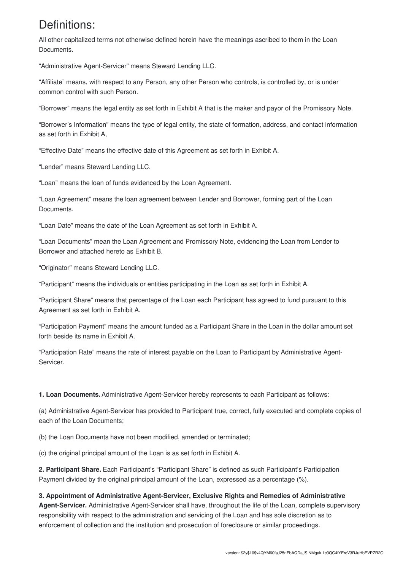### Definitions:

All other capitalized terms not otherwise defined herein have the meanings ascribed to them in the Loan Documents.

"Administrative Agent-Servicer" means Steward Lending LLC.

"Affiliate" means, with respect to any Person, any other Person who controls, is controlled by, or is under common control with such Person.

"Borrower" means the legal entity as set forth in Exhibit A that is the maker and payor of the Promissory Note.

"Borrower's Information" means the type of legal entity, the state of formation, address, and contact information as set forth in Exhibit A,

"Effective Date" means the effective date of this Agreement as set forth in Exhibit A.

"Lender" means Steward Lending LLC.

"Loan" means the loan of funds evidenced by the Loan Agreement.

"Loan Agreement" means the loan agreement between Lender and Borrower, forming part of the Loan Documents.

"Loan Date" means the date of the Loan Agreement as set forth in Exhibit A.

"Loan Documents" mean the Loan Agreement and Promissory Note, evidencing the Loan from Lender to Borrower and attached hereto as Exhibit B.

"Originator" means Steward Lending LLC.

"Participant" means the individuals or entities participating in the Loan as set forth in Exhibit A.

"Participant Share" means that percentage of the Loan each Participant has agreed to fund pursuant to this Agreement as set forth in Exhibit A.

"Participation Payment" means the amount funded as a Participant Share in the Loan in the dollar amount set forth beside its name in Exhibit A.

"Participation Rate" means the rate of interest payable on the Loan to Participant by Administrative Agent-Servicer.

**1. Loan Documents.**Administrative Agent-Servicer hereby represents to each Participant as follows:

(a) Administrative Agent-Servicer has provided to Participant true, correct, fully executed and complete copies of each of the Loan Documents;

(b) the Loan Documents have not been modified, amended or terminated;

(c) the original principal amount of the Loan is as set forth in Exhibit A.

**2. Participant Share.** Each Participant's "Participant Share" is defined as such Participant's Participation Payment divided by the original principal amount of the Loan, expressed as a percentage (%).

#### **3. Appointment of Administrative Agent-Servicer, Exclusive Rights and Remedies of Administrative**

**Agent-Servicer.** Administrative Agent-Servicer shall have, throughout the life of the Loan, complete supervisory responsibility with respect to the administration and servicing of the Loan and has sole discretion as to enforcement of collection and the institution and prosecution of foreclosure or similar proceedings.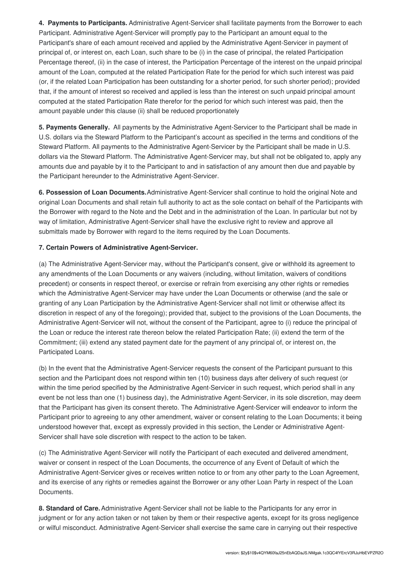**4. Payments to Participants.** Administrative Agent-Servicer shall facilitate payments from the Borrower to each Participant. Administrative Agent-Servicer will promptly pay to the Participant an amount equal to the Participant's share of each amount received and applied by the Administrative Agent-Servicer in payment of principal of, or interest on, each Loan, such share to be (i) in the case of principal, the related Participation Percentage thereof, (ii) in the case of interest, the Participation Percentage of the interest on the unpaid principal amount of the Loan, computed at the related Participation Rate for the period for which such interest was paid (or, if the related Loan Participation has been outstanding for a shorter period, for such shorter period); provided that, if the amount of interest so received and applied is less than the interest on such unpaid principal amount computed at the stated Participation Rate therefor for the period for which such interest was paid, then the amount payable under this clause (ii) shall be reduced proportionately

**5. Payments Generally.** All payments by the Administrative Agent-Servicer to the Participant shall be made in U.S. dollars via the Steward Platform to the Participant's account as specified in the terms and conditions of the Steward Platform. All payments to the Administrative Agent-Servicer by the Participant shall be made in U.S. dollars via the Steward Platform. The Administrative Agent-Servicer may, but shall not be obligated to, apply any amounts due and payable by it to the Participant to and in satisfaction of any amount then due and payable by the Participant hereunder to the Administrative Agent-Servicer.

**6. Possession of Loan Documents.**Administrative Agent-Servicer shall continue to hold the original Note and original Loan Documents and shall retain full authority to act as the sole contact on behalf of the Participants with the Borrower with regard to the Note and the Debt and in the administration of the Loan. In particular but not by way of limitation, Administrative Agent-Servicer shall have the exclusive right to review and approve all submittals made by Borrower with regard to the items required by the Loan Documents.

#### **7. Certain Powers of Administrative Agent-Servicer.**

(a) The Administrative Agent-Servicer may, without the Participant's consent, give or withhold its agreement to any amendments of the Loan Documents or any waivers (including, without limitation, waivers of conditions precedent) or consents in respect thereof, or exercise or refrain from exercising any other rights or remedies which the Administrative Agent-Servicer may have under the Loan Documents or otherwise (and the sale or granting of any Loan Participation by the Administrative Agent-Servicer shall not limit or otherwise affect its discretion in respect of any of the foregoing); provided that, subject to the provisions of the Loan Documents, the Administrative Agent-Servicer will not, without the consent of the Participant, agree to (i) reduce the principal of the Loan or reduce the interest rate thereon below the related Participation Rate; (ii) extend the term of the Commitment; (iii) extend any stated payment date for the payment of any principal of, or interest on, the Participated Loans.

(b) In the event that the Administrative Agent-Servicer requests the consent of the Participant pursuant to this section and the Participant does not respond within ten (10) business days after delivery of such request (or within the time period specified by the Administrative Agent-Servicer in such request, which period shall in any event be not less than one (1) business day), the Administrative Agent-Servicer, in its sole discretion, may deem that the Participant has given its consent thereto. The Administrative Agent-Servicer will endeavor to inform the Participant prior to agreeing to any other amendment, waiver or consent relating to the Loan Documents; it being understood however that, except as expressly provided in this section, the Lender or Administrative Agent-Servicer shall have sole discretion with respect to the action to be taken.

(c) The Administrative Agent-Servicer will notify the Participant of each executed and delivered amendment, waiver or consent in respect of the Loan Documents, the occurrence of any Event of Default of which the Administrative Agent-Servicer gives or receives written notice to or from any other party to the Loan Agreement, and its exercise of any rights or remedies against the Borrower or any other Loan Party in respect of the Loan Documents.

**8. Standard of Care.**Administrative Agent-Servicer shall not be liable to the Participants for any error in judgment or for any action taken or not taken by them or their respective agents, except for its gross negligence or wilful misconduct. Administrative Agent-Servicer shall exercise the same care in carrying out their respective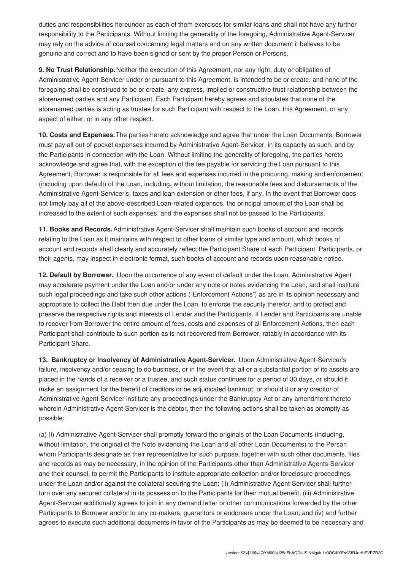duties and responsibilities hereunder as each of them exercises for similar loans and shall not have any further responsibility to the Participants. Without limiting the generality of the foregoing, Administrative Agent-Servicer may rely on the advice of counsel concerning legal matters and on any written document it believes to be genuine and correct and to have been signed or sent by the proper Person or Persons.

**9. No Trust Relationship.**Neither the execution of this Agreement, nor any right, duty or obligation of Administrative Agent-Servicer under or pursuant to this Agreement, is intended to be or create, and none of the foregoing shall be construed to be or create, any express, implied or constructive trust relationship between the aforenamed parties and any Participant. Each Participant hereby agrees and stipulates that none of the aforenamed parties is acting as trustee for such Participant with respect to the Loan, this Agreement, or any aspect of either, or in any other respect.

**10. Costs and Expenses.**The parties hereto acknowledge and agree that under the Loan Documents, Borrower must pay all out-of-pocket expenses incurred by Administrative Agent-Servicer, in its capacity as such, and by the Participants in connection with the Loan. Without limiting the generality of foregoing, the parties hereto acknowledge and agree that, with the exception of the fee payable for servicing the Loan pursuant to this Agreement, Borrower is responsible for all fees and expenses incurred in the procuring, making and enforcement (including upon default) of the Loan, including, without limitation, the reasonable fees and disbursements of the Administrative Agent-Servicer's, taxes and loan extension or other fees, if any. In the event that Borrower does not timely pay all of the above-described Loan-related expenses, the principal amount of the Loan shall be increased to the extent of such expenses, and the expenses shall not be passed to the Participants.

**11. Books and Records.**Administrative Agent-Servicer shall maintain such books of account and records relating to the Loan as it maintains with respect to other loans of similar type and amount, which books of account and records shall clearly and accurately reflect the Participant Share of each Participant. Participants, or their agents, may inspect in electronic format, such books of account and records upon reasonable notice.

**12. Default by Borrower.** Upon the occurrence of any event of default under the Loan, Administrative Agent may accelerate payment under the Loan and/or under any note or notes evidencing the Loan, and shall institute such legal proceedings and take such other actions ("Enforcement Actions") as are in its opinion necessary and appropriate to collect the Debt then due under the Loan, to enforce the security therefor, and to protect and preserve the respective rights and interests of Lender and the Participants. If Lender and Participants are unable to recover from Borrower the entire amount of fees, costs and expenses of all Enforcement Actions, then each Participant shall contribute to such portion as is not recovered from Borrower, ratably in accordance with its Participant Share.

**13. Bankruptcy or Insolvency of Administrative Agent-Servicer.** Upon Administrative Agent-Servicer's failure, insolvency and/or ceasing to do business, or in the event that all or a substantial portion of its assets are placed in the hands of a receiver or a trustee, and such status continues for a period of 30 days, or should it make an assignment for the benefit of creditors or be adjudicated bankrupt; or should it or any creditor of Administrative Agent-Servicer institute any proceedings under the Bankruptcy Act or any amendment thereto wherein Administrative Agent-Servicer is the debtor, then the following actions shall be taken as promptly as possible:

(a) (i) Administrative Agent-Servicer shall promptly forward the originals of the Loan Documents (including, without limitation, the original of the Note evidencing the Loan and all other Loan Documents) to the Person whom Participants designate as their representative for such purpose, together with such other documents, files and records as may be necessary, in the opinion of the Participants other than Administrative Agents-Servicer and their counsel, to permit the Participants to institute appropriate collection and/or foreclosure proceedings under the Loan and/or against the collateral securing the Loan; (ii) Administrative Agent-Servicer shall further turn over any secured collateral in its possession to the Participants for their mutual benefit; (iii) Administrative Agent-Servicer additionally agrees to join in any demand letter or other communications forwarded by the other Participants to Borrower and/or to any co-makers, guarantors or endorsers under the Loan; and (iv) and further agrees to execute such additional documents in favor of the Participants as may be deemed to be necessary and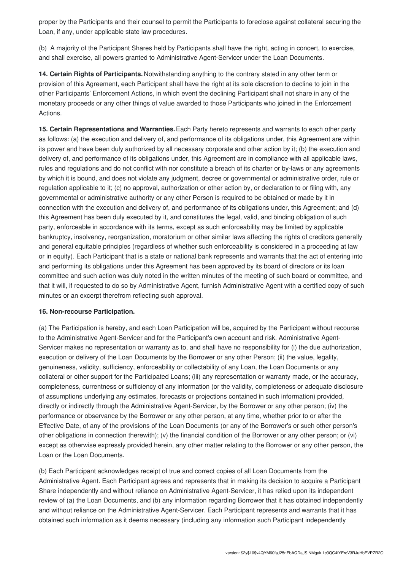proper by the Participants and their counsel to permit the Participants to foreclose against collateral securing the Loan, if any, under applicable state law procedures.

(b) A majority of the Participant Shares held by Participants shall have the right, acting in concert, to exercise, and shall exercise, all powers granted to Administrative Agent-Servicer under the Loan Documents.

**14. Certain Rights of Participants.** Notwithstanding anything to the contrary stated in any other term or provision of this Agreement, each Participant shall have the right at its sole discretion to decline to join in the other Participants' Enforcement Actions, in which event the declining Participant shall not share in any of the monetary proceeds or any other things of value awarded to those Participants who joined in the Enforcement Actions.

**15. Certain Representations and Warranties.**Each Party hereto represents and warrants to each other party as follows: (a) the execution and delivery of, and performance of its obligations under, this Agreement are within its power and have been duly authorized by all necessary corporate and other action by it; (b) the execution and delivery of, and performance of its obligations under, this Agreement are in compliance with all applicable laws, rules and regulations and do not conflict with nor constitute a breach of its charter or by-laws or any agreements by which it is bound, and does not violate any judgment, decree or governmental or administrative order, rule or regulation applicable to it; (c) no approval, authorization or other action by, or declaration to or filing with, any governmental or administrative authority or any other Person is required to be obtained or made by it in connection with the execution and delivery of, and performance of its obligations under, this Agreement; and (d) this Agreement has been duly executed by it, and constitutes the legal, valid, and binding obligation of such party, enforceable in accordance with its terms, except as such enforceability may be limited by applicable bankruptcy, insolvency, reorganization, moratorium or other similar laws affecting the rights of creditors generally and general equitable principles (regardless of whether such enforceability is considered in a proceeding at law or in equity). Each Participant that is a state or national bank represents and warrants that the act of entering into and performing its obligations under this Agreement has been approved by its board of directors or its loan committee and such action was duly noted in the written minutes of the meeting of such board or committee, and that it will, if requested to do so by Administrative Agent, furnish Administrative Agent with a certified copy of such minutes or an excerpt therefrom reflecting such approval.

#### **16. Non-recourse Participation.**

(a) The Participation is hereby, and each Loan Participation will be, acquired by the Participant without recourse to the Administrative Agent-Servicer and for the Participant's own account and risk. Administrative Agent-Servicer makes no representation or warranty as to, and shall have no responsibility for (i) the due authorization, execution or delivery of the Loan Documents by the Borrower or any other Person; (ii) the value, legality, genuineness, validity, sufficiency, enforceability or collectability of any Loan, the Loan Documents or any collateral or other support for the Participated Loans; (iii) any representation or warranty made, or the accuracy, completeness, currentness or sufficiency of any information (or the validity, completeness or adequate disclosure of assumptions underlying any estimates, forecasts or projections contained in such information) provided, directly or indirectly through the Administrative Agent-Servicer, by the Borrower or any other person; (iv) the performance or observance by the Borrower or any other person, at any time, whether prior to or after the Effective Date, of any of the provisions of the Loan Documents (or any of the Borrower's or such other person's other obligations in connection therewith); (v) the financial condition of the Borrower or any other person; or (vi) except as otherwise expressly provided herein, any other matter relating to the Borrower or any other person, the Loan or the Loan Documents.

(b) Each Participant acknowledges receipt of true and correct copies of all Loan Documents from the Administrative Agent. Each Participant agrees and represents that in making its decision to acquire a Participant Share independently and without reliance on Administrative Agent-Servicer, it has relied upon its independent review of (a) the Loan Documents, and (b) any information regarding Borrower that it has obtained independently and without reliance on the Administrative Agent-Servicer. Each Participant represents and warrants that it has obtained such information as it deems necessary (including any information such Participant independently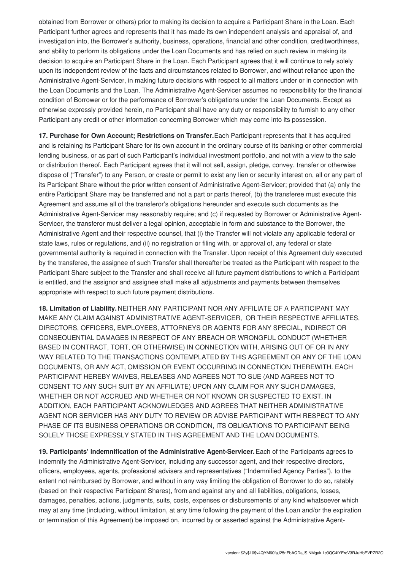obtained from Borrower or others) prior to making its decision to acquire a Participant Share in the Loan. Each Participant further agrees and represents that it has made its own independent analysis and appraisal of, and investigation into, the Borrower's authority, business, operations, financial and other condition, creditworthiness, and ability to perform its obligations under the Loan Documents and has relied on such review in making its decision to acquire an Participant Share in the Loan. Each Participant agrees that it will continue to rely solely upon its independent review of the facts and circumstances related to Borrower, and without reliance upon the Administrative Agent-Servicer, in making future decisions with respect to all matters under or in connection with the Loan Documents and the Loan. The Administrative Agent-Servicer assumes no responsibility for the financial condition of Borrower or for the performance of Borrower's obligations under the Loan Documents. Except as otherwise expressly provided herein, no Participant shall have any duty or responsibility to furnish to any other Participant any credit or other information concerning Borrower which may come into its possession.

**17. Purchase for Own Account; Restrictions on Transfer.**Each Participant represents that it has acquired and is retaining its Participant Share for its own account in the ordinary course of its banking or other commercial lending business, or as part of such Participant's individual investment portfolio, and not with a view to the sale or distribution thereof. Each Participant agrees that it will not sell, assign, pledge, convey, transfer or otherwise dispose of ("Transfer") to any Person, or create or permit to exist any lien or security interest on, all or any part of its Participant Share without the prior written consent of Administrative Agent-Servicer; provided that (a) only the entire Participant Share may be transferred and not a part or parts thereof, (b) the transferee must execute this Agreement and assume all of the transferor's obligations hereunder and execute such documents as the Administrative Agent-Servicer may reasonably require; and (c) if requested by Borrower or Administrative Agent-Servicer, the transferor must deliver a legal opinion, acceptable in form and substance to the Borrower, the Administrative Agent and their respective counsel, that (i) the Transfer will not violate any applicable federal or state laws, rules or regulations, and (ii) no registration or filing with, or approval of, any federal or state governmental authority is required in connection with the Transfer. Upon receipt of this Agreement duly executed by the transferee, the assignee of such Transfer shall thereafter be treated as the Participant with respect to the Participant Share subject to the Transfer and shall receive all future payment distributions to which a Participant is entitled, and the assignor and assignee shall make all adjustments and payments between themselves appropriate with respect to such future payment distributions.

**18. Limitation of Liability.** NEITHER ANY PARTICIPANT NOR ANY AFFILIATE OF A PARTICIPANT MAY MAKE ANY CLAIM AGAINST ADMINISTRATIVE AGENT-SERVICER, OR THEIR RESPECTIVE AFFILIATES, DIRECTORS, OFFICERS, EMPLOYEES, ATTORNEYS OR AGENTS FOR ANY SPECIAL, INDIRECT OR CONSEQUENTIAL DAMAGES IN RESPECT OF ANY BREACH OR WRONGFUL CONDUCT (WHETHER BASED IN CONTRACT, TORT, OR OTHERWISE) IN CONNECTION WITH, ARISING OUT OF OR IN ANY WAY RELATED TO THE TRANSACTIONS CONTEMPLATED BY THIS AGREEMENT OR ANY OF THE LOAN DOCUMENTS, OR ANY ACT, OMISSION OR EVENT OCCURRING IN CONNECTION THEREWITH. EACH PARTICIPANT HEREBY WAIVES, RELEASES AND AGREES NOT TO SUE (AND AGREES NOT TO CONSENT TO ANY SUCH SUIT BY AN AFFILIATE) UPON ANY CLAIM FOR ANY SUCH DAMAGES, WHETHER OR NOT ACCRUED AND WHETHER OR NOT KNOWN OR SUSPECTED TO EXIST. IN ADDITION, EACH PARTICIPANT ACKNOWLEDGES AND AGREES THAT NEITHER ADMINISTRATIVE AGENT NOR SERVICER HAS ANY DUTY TO REVIEW OR ADVISE PARTICIPANT WITH RESPECT TO ANY PHASE OF ITS BUSINESS OPERATIONS OR CONDITION, ITS OBLIGATIONS TO PARTICIPANT BEING SOLELY THOSE EXPRESSLY STATED IN THIS AGREEMENT AND THE LOAN DOCUMENTS.

**19. Participants' Indemnification of the Administrative Agent-Servicer.**Each of the Participants agrees to indemnify the Administrative Agent-Servicer, including any successor agent, and their respective directors, officers, employees, agents, professional advisers and representatives ("Indemnified Agency Parties"), to the extent not reimbursed by Borrower, and without in any way limiting the obligation of Borrower to do so, ratably (based on their respective Participant Shares), from and against any and all liabilities, obligations, losses, damages, penalties, actions, judgments, suits, costs, expenses or disbursements of any kind whatsoever which may at any time (including, without limitation, at any time following the payment of the Loan and/or the expiration or termination of this Agreement) be imposed on, incurred by or asserted against the Administrative Agent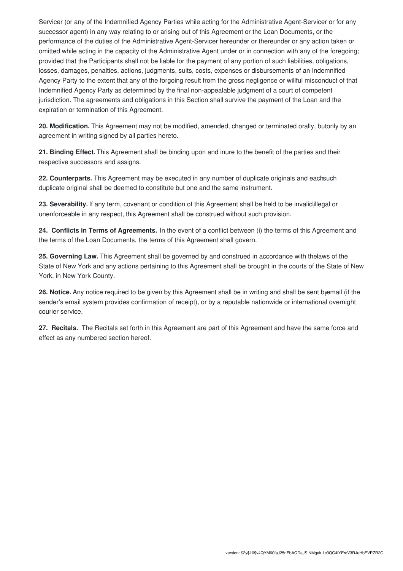Servicer (or any of the Indemnified Agency Parties while acting for the Administrative Agent-Servicer or for any successor agent) in any way relating to or arising out of this Agreement or the Loan Documents, or the performance of the duties of the Administrative Agent-Servicer hereunder or thereunder or any action taken or omitted while acting in the capacity of the Administrative Agent under or in connection with any of the foregoing; provided that the Participants shall not be liable for the payment of any portion of such liabilities, obligations, losses, damages, penalties, actions, judgments, suits, costs, expenses or disbursements of an Indemnified Agency Party to the extent that any of the forgoing result from the gross negligence or willful misconduct of that Indemnified Agency Party as determined by the final non-appealable judgment of a court of competent jurisdiction. The agreements and obligations in this Section shall survive the payment of the Loan and the expiration or termination of this Agreement.

**20. Modification.** This Agreement may not be modified, amended, changed or terminated orally, butonly by an agreement in writing signed by all parties hereto.

**21. Binding Effect.** This Agreement shall be binding upon and inure to the benefit of the parties and their respective successors and assigns.

**22. Counterparts.** This Agreement may be executed in any number of duplicate originals and eachsuch duplicate original shall be deemed to constitute but one and the same instrument.

**23. Severability.** If any term, covenant or condition of this Agreement shall be held to be invalid,illegal or unenforceable in any respect, this Agreement shall be construed without such provision.

**24. Conflicts in Terms of Agreements.** In the event of a conflict between (i) the terms of this Agreement and the terms of the Loan Documents, the terms of this Agreement shall govern.

**25. Governing Law.** This Agreement shall be governed by and construed in accordance with thelaws of the State of New York and any actions pertaining to this Agreement shall be brought in the courts of the State of New York, in New York County.

**26. Notice.** Any notice required to be given by this Agreement shall be in writing and shall be sent byemail (if the sender's email system provides confirmation of receipt), or by a reputable nationwide or international overnight courier service.

**27. Recitals.** The Recitals set forth in this Agreement are part of this Agreement and have the same force and effect as any numbered section hereof.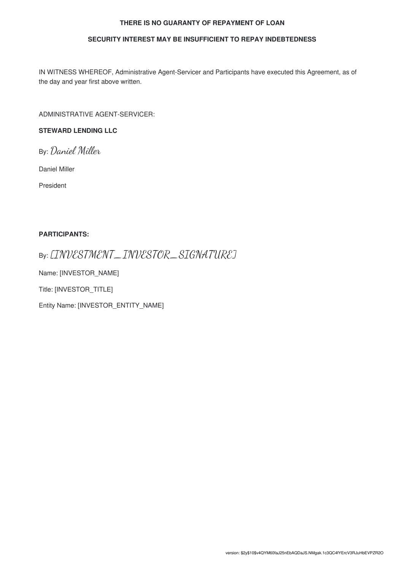#### **THERE IS NO GUARANTY OF REPAYMENT OF LOAN**

#### **SECURITY INTEREST MAY BE INSUFFICIENT TO REPAY INDEBTEDNESS**

IN WITNESS WHEREOF, Administrative Agent-Servicer and Participants have executed this Agreement, as of the day and year first above written.

ADMINISTRATIVE AGENT-SERVICER:

#### **STEWARD LENDING LLC**

By: Daniel Miller

Daniel Miller

President

#### **PARTICIPANTS:**

### By: [INVESTMENT\_INVESTOR\_SIGNATURE]

Name: [INVESTOR\_NAME]

Title: [INVESTOR\_TITLE]

Entity Name: [INVESTOR\_ENTITY\_NAME]